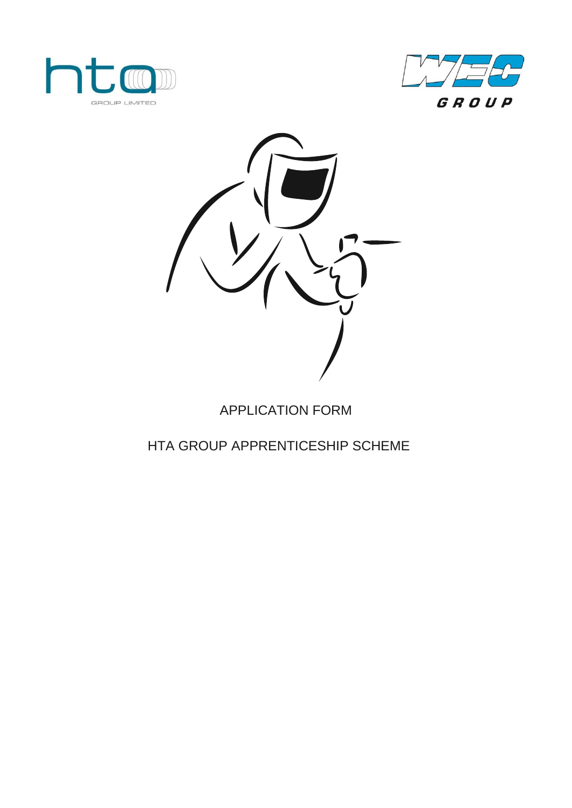





# APPLICATION FORM

## HTA GROUP APPRENTICESHIP SCHEME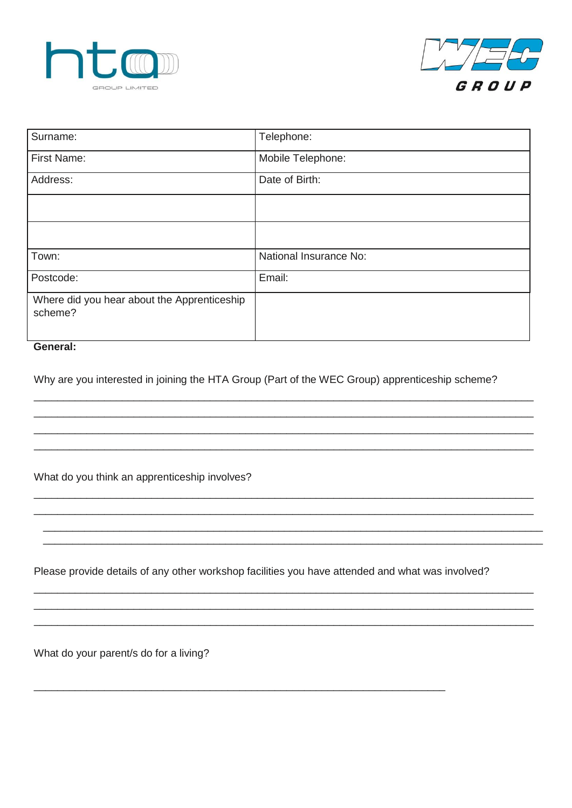



| Surname:                                               | Telephone:             |
|--------------------------------------------------------|------------------------|
| First Name:                                            | Mobile Telephone:      |
| Address:                                               | Date of Birth:         |
|                                                        |                        |
|                                                        |                        |
| Town:                                                  | National Insurance No: |
| Postcode:                                              | Email:                 |
| Where did you hear about the Apprenticeship<br>scheme? |                        |

#### General:

Why are you interested in joining the HTA Group (Part of the WEC Group) apprenticeship scheme?

What do you think an apprenticeship involves?

Please provide details of any other workshop facilities you have attended and what was involved?

What do your parent/s do for a living?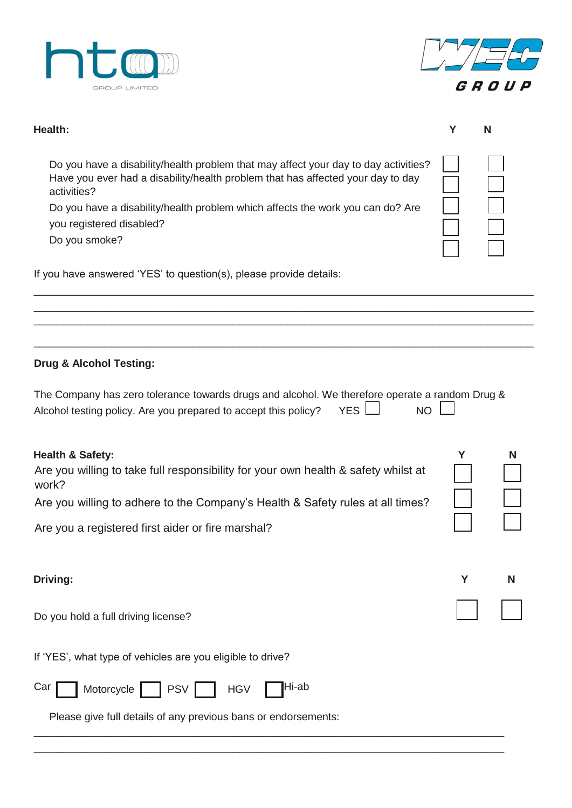



| Health:                                                                                                                                                                                                                                                                                                              | Υ | N |
|----------------------------------------------------------------------------------------------------------------------------------------------------------------------------------------------------------------------------------------------------------------------------------------------------------------------|---|---|
| Do you have a disability/health problem that may affect your day to day activities?<br>Have you ever had a disability/health problem that has affected your day to day<br>activities?<br>Do you have a disability/health problem which affects the work you can do? Are<br>you registered disabled?<br>Do you smoke? |   |   |
| If you have answered 'YES' to question(s), please provide details:                                                                                                                                                                                                                                                   |   |   |
|                                                                                                                                                                                                                                                                                                                      |   |   |
| <b>Drug &amp; Alcohol Testing:</b>                                                                                                                                                                                                                                                                                   |   |   |
| The Company has zero tolerance towards drugs and alcohol. We therefore operate a random Drug &<br><b>YES</b><br>Alcohol testing policy. Are you prepared to accept this policy?<br><b>NO</b>                                                                                                                         |   |   |
| <b>Health &amp; Safety:</b><br>Are you willing to take full responsibility for your own health & safety whilst at<br>work?<br>Are you willing to adhere to the Company's Health & Safety rules at all times?                                                                                                         | Y | N |
| Are you a registered first aider or fire marshal?                                                                                                                                                                                                                                                                    |   |   |
| Driving:                                                                                                                                                                                                                                                                                                             | Y | N |
| Do you hold a full driving license?                                                                                                                                                                                                                                                                                  |   |   |
| If 'YES', what type of vehicles are you eligible to drive?                                                                                                                                                                                                                                                           |   |   |
| Hi-ab<br>Car<br>Motorcycle<br><b>PSV</b><br><b>HGV</b>                                                                                                                                                                                                                                                               |   |   |
| Please give full details of any previous bans or endorsements:                                                                                                                                                                                                                                                       |   |   |
|                                                                                                                                                                                                                                                                                                                      |   |   |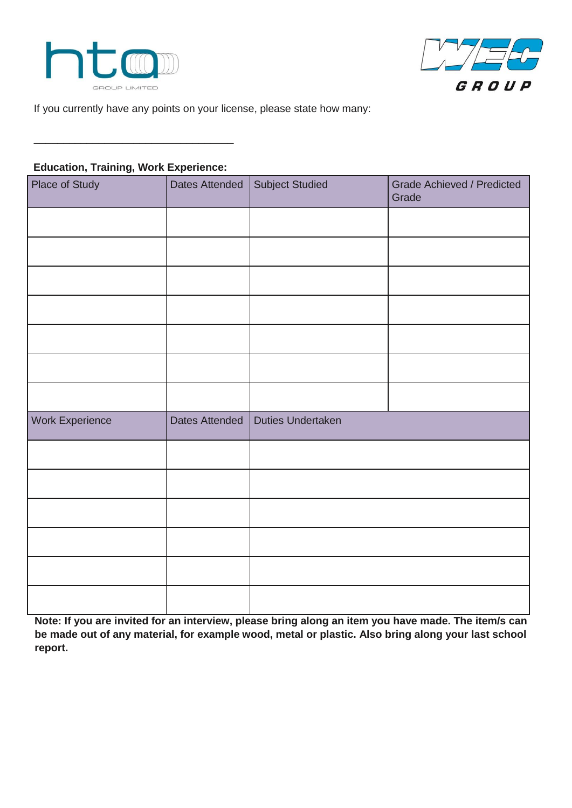



If you currently have any points on your license, please state how many:

#### **Education, Training, Work Experience:**

\_\_\_\_\_\_\_\_\_\_\_\_\_\_\_\_\_\_\_\_\_\_\_\_\_\_\_\_\_\_\_\_\_\_

| Place of Study         | Dates Attended | <b>Subject Studied</b> | Grade Achieved / Predicted<br>Grade |
|------------------------|----------------|------------------------|-------------------------------------|
|                        |                |                        |                                     |
|                        |                |                        |                                     |
|                        |                |                        |                                     |
|                        |                |                        |                                     |
|                        |                |                        |                                     |
|                        |                |                        |                                     |
|                        |                |                        |                                     |
| <b>Work Experience</b> | Dates Attended | Duties Undertaken      |                                     |
|                        |                |                        |                                     |
|                        |                |                        |                                     |
|                        |                |                        |                                     |
|                        |                |                        |                                     |
|                        |                |                        |                                     |
|                        |                |                        |                                     |

**Note: If you are invited for an interview, please bring along an item you have made. The item/s can be made out of any material, for example wood, metal or plastic. Also bring along your last school report.**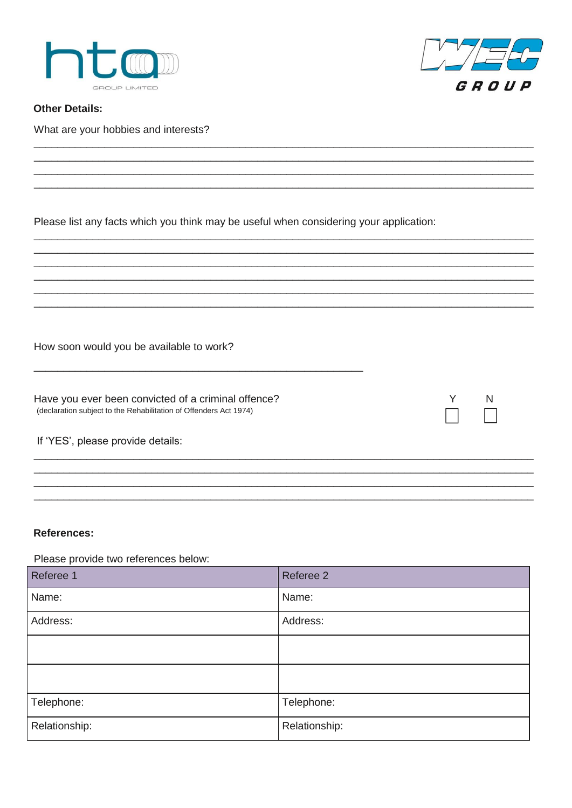



Y

N

**Other Details:** 

What are your hobbies and interests?

Please list any facts which you think may be useful when considering your application:

How soon would you be available to work?

Have you ever been convicted of a criminal offence? (declaration subject to the Rehabilitation of Offenders Act 1974)

#### References:

Please provide two references below:

| Referee 1     | Referee 2     |
|---------------|---------------|
| Name:         | Name:         |
| Address:      | Address:      |
|               |               |
|               |               |
| Telephone:    | Telephone:    |
| Relationship: | Relationship: |